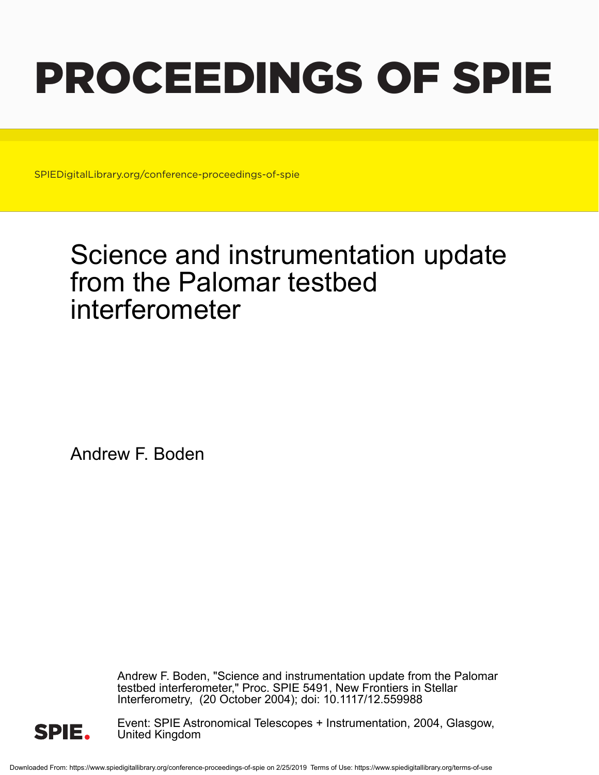# PROCEEDINGS OF SPIE

SPIEDigitalLibrary.org/conference-proceedings-of-spie

## Science and instrumentation update from the Palomar testbed interferometer

Andrew F. Boden

Andrew F. Boden, "Science and instrumentation update from the Palomar testbed interferometer," Proc. SPIE 5491, New Frontiers in Stellar Interferometry, (20 October 2004); doi: 10.1117/12.559988



Event: SPIE Astronomical Telescopes + Instrumentation, 2004, Glasgow, United Kingdom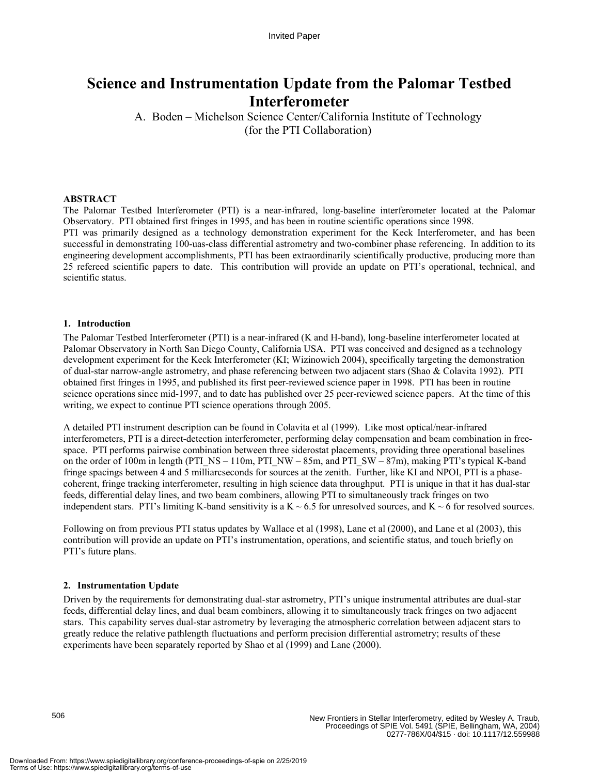### **Science and Instrumentation Update from the Palomar Testbed Interferometer**

A. Boden – Michelson Science Center/California Institute of Technology (for the PTI Collaboration)

#### **ABSTRACT**

The Palomar Testbed Interferometer (PTI) is a near-infrared, long-baseline interferometer located at the Palomar Observatory. PTI obtained first fringes in 1995, and has been in routine scientific operations since 1998. PTI was primarily designed as a technology demonstration experiment for the Keck Interferometer, and has been successful in demonstrating 100-uas-class differential astrometry and two-combiner phase referencing. In addition to its engineering development accomplishments, PTI has been extraordinarily scientifically productive, producing more than 25 refereed scientific papers to date. This contribution will provide an update on PTI's operational, technical, and scientific status.

#### **1. Introduction**

The Palomar Testbed Interferometer (PTI) is a near-infrared (K and H-band), long-baseline interferometer located at Palomar Observatory in North San Diego County, California USA. PTI was conceived and designed as a technology development experiment for the Keck Interferometer (KI; Wizinowich 2004), specifically targeting the demonstration of dual-star narrow-angle astrometry, and phase referencing between two adjacent stars (Shao & Colavita 1992). PTI obtained first fringes in 1995, and published its first peer-reviewed science paper in 1998. PTI has been in routine science operations since mid-1997, and to date has published over 25 peer-reviewed science papers. At the time of this writing, we expect to continue PTI science operations through 2005.

A detailed PTI instrument description can be found in Colavita et al (1999). Like most optical/near-infrared interferometers, PTI is a direct-detection interferometer, performing delay compensation and beam combination in freespace. PTI performs pairwise combination between three siderostat placements, providing three operational baselines on the order of 100m in length (PTI\_NS – 110m, PTI\_NW – 85m, and PTI\_SW – 87m), making PTI's typical K-band fringe spacings between 4 and 5 milliarcseconds for sources at the zenith. Further, like KI and NPOI, PTI is a phasecoherent, fringe tracking interferometer, resulting in high science data throughput. PTI is unique in that it has dual-star feeds, differential delay lines, and two beam combiners, allowing PTI to simultaneously track fringes on two independent stars. PTI's limiting K-band sensitivity is a  $K \sim 6.5$  for unresolved sources, and  $K \sim 6$  for resolved sources.

Following on from previous PTI status updates by Wallace et al (1998), Lane et al (2000), and Lane et al (2003), this contribution will provide an update on PTI's instrumentation, operations, and scientific status, and touch briefly on PTI's future plans.

#### **2. Instrumentation Update**

Driven by the requirements for demonstrating dual-star astrometry, PTI's unique instrumental attributes are dual-star feeds, differential delay lines, and dual beam combiners, allowing it to simultaneously track fringes on two adjacent stars. This capability serves dual-star astrometry by leveraging the atmospheric correlation between adjacent stars to greatly reduce the relative pathlength fluctuations and perform precision differential astrometry; results of these experiments have been separately reported by Shao et al (1999) and Lane (2000).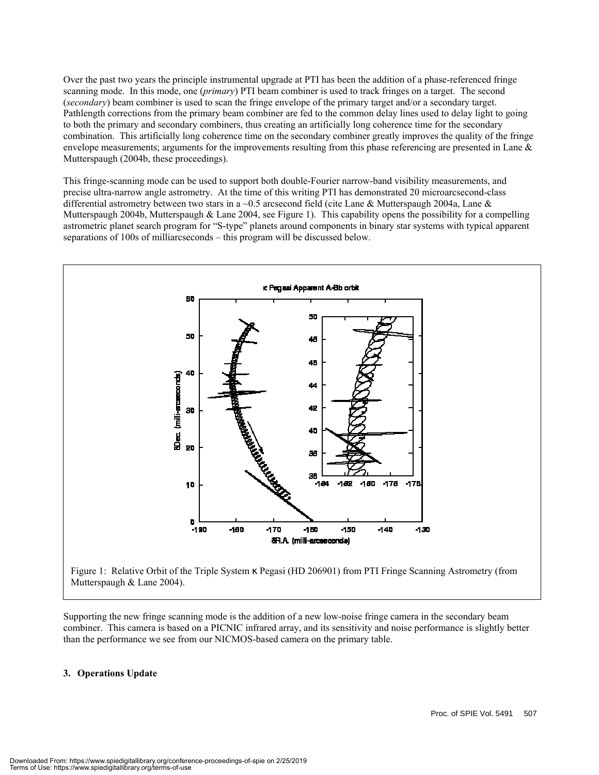Over the past two years the principle instrumental upgrade at PTI has been the addition of a phase-referenced fringe scanning mode. In this mode, one (*primary*) PTI beam combiner is used to track fringes on a target. The second (*secondary*) beam combiner is used to scan the fringe envelope of the primary target and/or a secondary target. Pathlength corrections from the primary beam combiner are fed to the common delay lines used to delay light to going to both the primary and secondary combiners, thus creating an artificially long coherence time for the secondary combination. This artificially long coherence time on the secondary combiner greatly improves the quality of the fringe envelope measurements; arguments for the improvements resulting from this phase referencing are presented in Lane  $\&$ Mutterspaugh (2004b, these proceedings).

This fringe-scanning mode can be used to support both double-Fourier narrow-band visibility measurements, and precise ultra-narrow angle astrometry. At the time of this writing PTI has demonstrated 20 microarcsecond-class differential astrometry between two stars in a ~0.5 arcsecond field (cite Lane & Mutterspaugh 2004a, Lane & Mutterspaugh 2004b, Mutterspaugh & Lane 2004, see Figure 1). This capability opens the possibility for a compelling astrometric planet search program for "S-type" planets around components in binary star systems with typical apparent separations of 100s of milliarcseconds – this program will be discussed below.



Supporting the new fringe scanning mode is the addition of a new low-noise fringe camera in the secondary beam combiner. This camera is based on a PICNIC infrared array, and its sensitivity and noise performance is slightly better than the performance we see from our NICMOS-based camera on the primary table.

#### **3. Operations Update**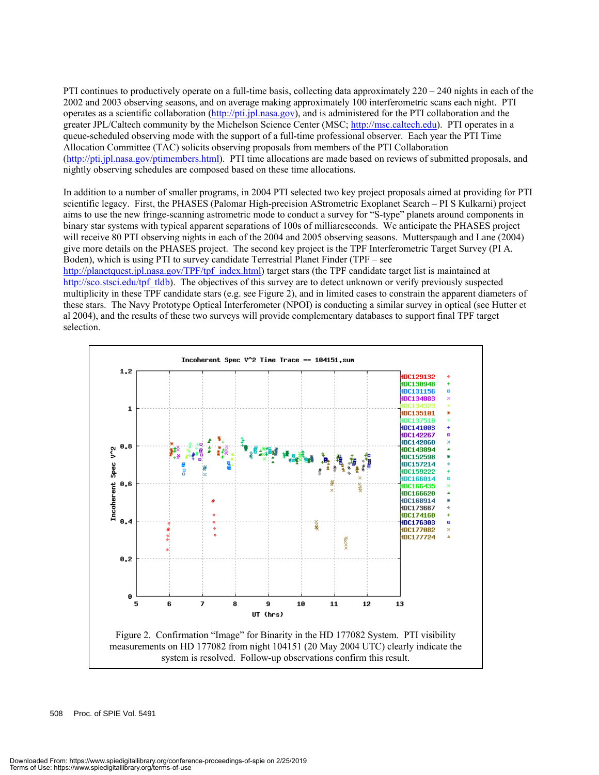PTI continues to productively operate on a full-time basis, collecting data approximately 220 – 240 nights in each of the 2002 and 2003 observing seasons, and on average making approximately 100 interferometric scans each night. PTI operates as a scientific collaboration (http://pti.jpl.nasa.gov), and is administered for the PTI collaboration and the greater JPL/Caltech community by the Michelson Science Center (MSC; http://msc.caltech.edu). PTI operates in a queue-scheduled observing mode with the support of a full-time professional observer. Each year the PTI Time Allocation Committee (TAC) solicits observing proposals from members of the PTI Collaboration (http://pti.jpl.nasa.gov/ptimembers.html). PTI time allocations are made based on reviews of submitted proposals, and nightly observing schedules are composed based on these time allocations.

In addition to a number of smaller programs, in 2004 PTI selected two key project proposals aimed at providing for PTI scientific legacy. First, the PHASES (Palomar High-precision AStrometric Exoplanet Search – PI S Kulkarni) project aims to use the new fringe-scanning astrometric mode to conduct a survey for "S-type" planets around components in binary star systems with typical apparent separations of 100s of milliarcseconds. We anticipate the PHASES project will receive 80 PTI observing nights in each of the 2004 and 2005 observing seasons. Mutterspaugh and Lane (2004) give more details on the PHASES project. The second key project is the TPF Interferometric Target Survey (PI A. Boden), which is using PTI to survey candidate Terrestrial Planet Finder (TPF – see

http://planetquest.jpl.nasa.gov/TPF/tpf\_index.html) target stars (the TPF candidate target list is maintained at http://sco.stsci.edu/tpf\_tldb). The objectives of this survey are to detect unknown or verify previously suspected multiplicity in these TPF candidate stars (e.g. see Figure 2), and in limited cases to constrain the apparent diameters of these stars. The Navy Prototype Optical Interferometer (NPOI) is conducting a similar survey in optical (see Hutter et al 2004), and the results of these two surveys will provide complementary databases to support final TPF target selection.

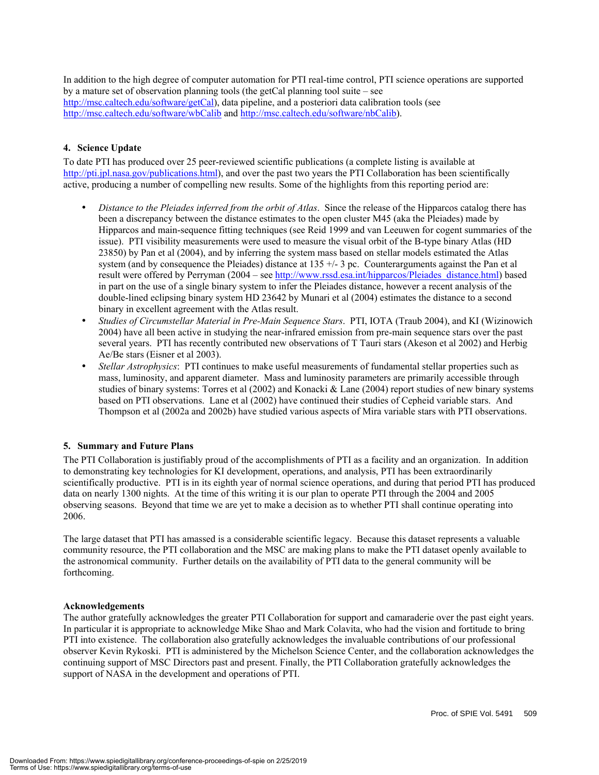In addition to the high degree of computer automation for PTI real-time control, PTI science operations are supported by a mature set of observation planning tools (the getCal planning tool suite – see http://msc.caltech.edu/software/getCal), data pipeline, and a posteriori data calibration tools (see http://msc.caltech.edu/software/wbCalib and http://msc.caltech.edu/software/nbCalib).

#### **4. Science Update**

To date PTI has produced over 25 peer-reviewed scientific publications (a complete listing is available at http://pti.jpl.nasa.gov/publications.html), and over the past two years the PTI Collaboration has been scientifically active, producing a number of compelling new results. Some of the highlights from this reporting period are:

- *Distance to the Pleiades inferred from the orbit of Atlas*. Since the release of the Hipparcos catalog there has been a discrepancy between the distance estimates to the open cluster M45 (aka the Pleiades) made by Hipparcos and main-sequence fitting techniques (see Reid 1999 and van Leeuwen for cogent summaries of the issue). PTI visibility measurements were used to measure the visual orbit of the B-type binary Atlas (HD 23850) by Pan et al (2004), and by inferring the system mass based on stellar models estimated the Atlas system (and by consequence the Pleiades) distance at  $135 +/-3$  pc. Counterarguments against the Pan et al result were offered by Perryman (2004 – see http://www.rssd.esa.int/hipparcos/Pleiades\_distance.html) based in part on the use of a single binary system to infer the Pleiades distance, however a recent analysis of the double-lined eclipsing binary system HD 23642 by Munari et al (2004) estimates the distance to a second binary in excellent agreement with the Atlas result.
- *Studies of Circumstellar Material in Pre-Main Sequence Stars*. PTI, IOTA (Traub 2004), and KI (Wizinowich 2004) have all been active in studying the near-infrared emission from pre-main sequence stars over the past several years. PTI has recently contributed new observations of T Tauri stars (Akeson et al 2002) and Herbig Ae/Be stars (Eisner et al 2003).
- *Stellar Astrophysics*: PTI continues to make useful measurements of fundamental stellar properties such as mass, luminosity, and apparent diameter. Mass and luminosity parameters are primarily accessible through studies of binary systems: Torres et al (2002) and Konacki & Lane (2004) report studies of new binary systems based on PTI observations. Lane et al (2002) have continued their studies of Cepheid variable stars. And Thompson et al (2002a and 2002b) have studied various aspects of Mira variable stars with PTI observations.

#### **5. Summary and Future Plans**

The PTI Collaboration is justifiably proud of the accomplishments of PTI as a facility and an organization. In addition to demonstrating key technologies for KI development, operations, and analysis, PTI has been extraordinarily scientifically productive. PTI is in its eighth year of normal science operations, and during that period PTI has produced data on nearly 1300 nights. At the time of this writing it is our plan to operate PTI through the 2004 and 2005 observing seasons. Beyond that time we are yet to make a decision as to whether PTI shall continue operating into 2006.

The large dataset that PTI has amassed is a considerable scientific legacy. Because this dataset represents a valuable community resource, the PTI collaboration and the MSC are making plans to make the PTI dataset openly available to the astronomical community. Further details on the availability of PTI data to the general community will be forthcoming.

#### **Acknowledgements**

The author gratefully acknowledges the greater PTI Collaboration for support and camaraderie over the past eight years. In particular it is appropriate to acknowledge Mike Shao and Mark Colavita, who had the vision and fortitude to bring PTI into existence. The collaboration also gratefully acknowledges the invaluable contributions of our professional observer Kevin Rykoski. PTI is administered by the Michelson Science Center, and the collaboration acknowledges the continuing support of MSC Directors past and present. Finally, the PTI Collaboration gratefully acknowledges the support of NASA in the development and operations of PTI.